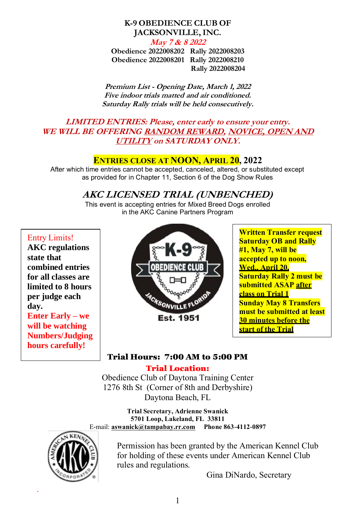### **K-9 OBEDIENCE CLUB OF JACKSONVILLE, INC. May 7 & 8 2022**

**Obedience 2022008202 Rally 2022008203 Obedience 2022008201 Rally 2022008210 Rally 2022008204**

**Premium List - Opening Date, March 1, 2022 Five indoor trials matted and air conditioned. Saturday Rally trials will be held consecutively.**

**LIMITED ENTRIES: Please, enter early to ensure your entry. WE WILL BE OFFERING RANDOM REWARD, NOVICE, OPEN AND UTILITY on SATURDAY ONLY.**

## **ENTRIES CLOSE AT NOON, APRIL 20, 2022**

After which time entries cannot be accepted, canceled, altered, or substituted except as provided for in Chapter 11, Section 6 of the Dog Show Rules

## **AKC LICENSED TRIAL (UNBENCHED)**

This event is accepting entries for Mixed Breed Dogs enrolled in the AKC Canine Partners Program

## Entry Limits!

**AKC regulations state that combined entries for all classes are limited to 8 hours per judge each day. Enter Early – we will be watching Numbers/Judging hours carefully!**



**Written Transfer request Saturday OB and Rally #1, May 7, will be accepted up to noon, Wed., April 20. Saturday Rally 2 must be submitted ASAP after class on Trial 1 Sunday May 8 Transfers must be submitted at least 30 minutes before the start of the Trial**

## Trial Hours: 7:00 AM to 5:00 PM

## Trial Location:

Obedience Club of Daytona Training Center 1276 8th St (Corner of 8th and Derbyshire) Daytona Beach, FL

**Trial Secretary, Adrienne Swanick 5701 Loop, Lakeland, FL 33811** E-mail: **[aswanick@tampabay.rr.com](mailto:aswanick@tampabay.rr.com) Phone 863-4112-0897**



.

Permission has been granted by the American Kennel Club for holding of these events under American Kennel Club rules and regulations.

Gina DiNardo, Secretary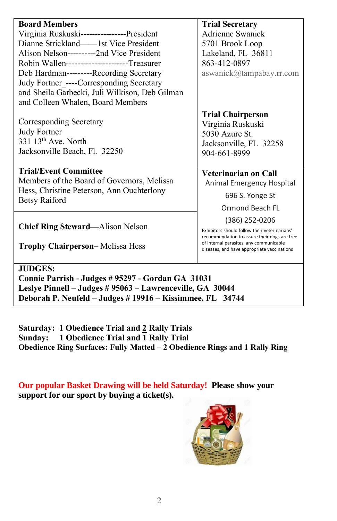#### **Board Members**  Virginia Ruskuski----------------President Dianne Strickland——1st Vice President Alison Nelson----------2nd Vice President Robin Wallen----------------------Treasurer Deb Hardman---------Recording Secretary Judy Fortner\_----Corresponding Secretary and Sheila Garbecki, Juli Wilkison, Deb Gilman and Colleen Whalen, Board Members Corresponding Secretary Judy Fortner 331 13th Ave. North Jacksonville Beach, Fl. 32250 **Trial/Event Committee** Members of the Board of Governors, Melissa Hess, Christine Peterson, Ann Ouchterlony Betsy Raiford **Trial Secretary** Adrienne Swanick 5701 Brook Loop Lakeland, FL 36811 863-412-0897 [aswanick@tampabay.rr.com](mailto:aswanick@tampabay.rr.com) **Trial Chairperson** Virginia Ruskuski 5030 Azure St. Jacksonville, FL 32258 904-661-8999 **Veterinarian on Call** Animal Emergency Hospital 696 S. Yonge St Ormond Beach FL (386) 252-0206 Exhibitors should follow their veterinarians' recommendation to assure their dogs are free of internal parasites, any communicable diseases, and have appropriate vaccinations **Chief Ring Steward—**Alison Nelson **Trophy Chairperson–** Melissa Hess

**JUDGES:** 

**Connie Parrish - Judges # 95297 - Gordan GA 31031 Leslye Pinnell – Judges # 95063 – Lawrenceville, GA 30044 Deborah P. Neufeld – Judges # 19916 – Kissimmee, FL 34744**

**Saturday: 1 Obedience Trial and 2 Rally Trials Sunday: 1 Obedience Trial and 1 Rally Trial Obedience Ring Surfaces: Fully Matted – 2 Obedience Rings and 1 Rally Ring**

**Our popular Basket Drawing will be held Saturday! Please show your support for our sport by buying a ticket(s).** 

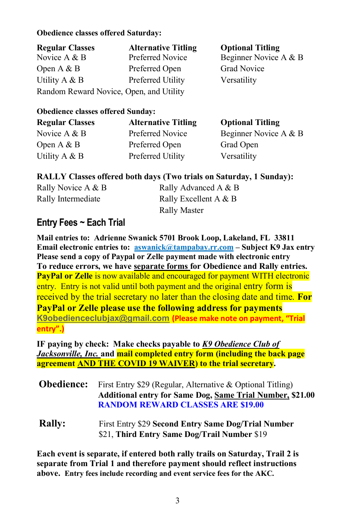## **Obedience classes offered Saturday:**

| <b>Regular Classes</b>                  | <b>Alternative Titling</b> | <b>Optional Titling</b> |  |
|-----------------------------------------|----------------------------|-------------------------|--|
| Novice A & B                            | Preferred Novice           | Beginner Novice A & B   |  |
| Open A $&B$                             | Preferred Open             | <b>Grad Novice</b>      |  |
| Utility A & B                           | Preferred Utility          | Versatility             |  |
| Random Reward Novice, Open, and Utility |                            |                         |  |

## **Obedience classes offered Sunday:**

| <b>Regular Classes</b> | <b>Alternative Titling</b> | <b>Optional Titling</b> |
|------------------------|----------------------------|-------------------------|
| Novice $A \& B$        | Preferred Novice           | Beginner Novice A & B   |
| Open A $&B$            | Preferred Open             | Grad Open               |
| Utility $A \& B$       | Preferred Utility          | Versatility             |

## **RALLY Classes offered both days (Two trials on Saturday, 1 Sunday):**

| Rally Novice A & B | Rally Advanced A & B     |
|--------------------|--------------------------|
| Rally Intermediate | Rally Excellent A $\&$ B |
|                    | <b>Rally Master</b>      |

## **Entry Fees ~ Each Trial**

**Mail entries to: Adrienne Swanick 5701 Brook Loop, Lakeland, FL 33811 Email electronic entries to: [aswanick@tampabay.rr.com](mailto:aswanick@tampabay.rr.com) – Subject K9 Jax entry Please send a copy of Paypal or Zelle payment made with electronic entry To reduce errors, we have separate forms for Obedience and Rally entries. PayPal or Zelle** is now available and encouraged for payment WITH electronic entry. Entry is not valid until both payment and the original entry form is received by the trial secretary no later than the closing date and time. **For PayPal or Zelle please use the following address for payments [K9obedienceclubjax@gmail.com](mailto:K9obedienceclubjax@gmail.com) (Please make note on payment, "Trial entry".)**

**IF paying by check: Make checks payable to** *K9 Obedience Club of Jacksonville, Inc.* **and mail completed entry form (including the back page agreement AND THE COVID 19 WAIVER) to the trial secretary.** 

| <b>Obedience:</b> | First Entry \$29 (Regular, Alternative & Optional Titling)<br><b>Additional entry for Same Dog, Same Trial Number, \$21.00</b><br><b>RANDOM REWARD CLASSES ARE \$19.00</b> |
|-------------------|----------------------------------------------------------------------------------------------------------------------------------------------------------------------------|
| <b>Rally:</b>     | First Entry \$29 Second Entry Same Dog/Trial Number<br>\$21, Third Entry Same Dog/Trail Number \$19                                                                        |

**Each event is separate, if entered both rally trails on Saturday, Trail 2 is separate from Trial 1 and therefore payment should reflect instructions above. Entry fees include recording and event service fees for the AKC.**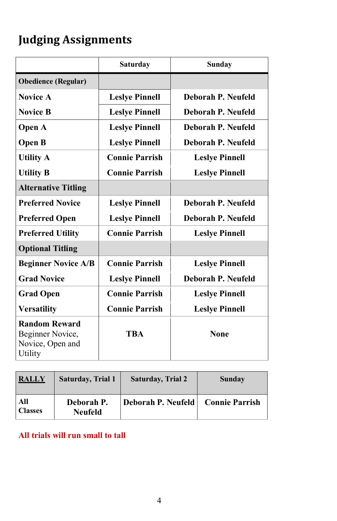# **Judging Assignments**

|                                                                         | Saturday              | Sunday                |
|-------------------------------------------------------------------------|-----------------------|-----------------------|
| <b>Obedience (Regular)</b>                                              |                       |                       |
| Novice A                                                                | <b>Leslye Pinnell</b> | Deborah P. Neufeld    |
| <b>Novice B</b>                                                         | <b>Leslye Pinnell</b> | Deborah P. Neufeld    |
| Open A                                                                  | <b>Leslye Pinnell</b> | Deborah P. Neufeld    |
| Open B                                                                  | <b>Leslye Pinnell</b> | Deborah P. Neufeld    |
| <b>Utility A</b>                                                        | <b>Connie Parrish</b> | <b>Leslye Pinnell</b> |
| <b>Utility B</b>                                                        | <b>Connie Parrish</b> | <b>Leslye Pinnell</b> |
| <b>Alternative Titling</b>                                              |                       |                       |
| <b>Preferred Novice</b>                                                 | <b>Leslye Pinnell</b> | Deborah P. Neufeld    |
| <b>Preferred Open</b>                                                   | <b>Leslye Pinnell</b> | Deborah P. Neufeld    |
| <b>Preferred Utility</b>                                                | <b>Connie Parrish</b> | <b>Leslye Pinnell</b> |
| <b>Optional Titling</b>                                                 |                       |                       |
| <b>Beginner Novice A/B</b>                                              | <b>Connie Parrish</b> | <b>Leslye Pinnell</b> |
| <b>Grad Novice</b>                                                      | <b>Leslye Pinnell</b> | Deborah P. Neufeld    |
| <b>Grad Open</b>                                                        | <b>Connie Parrish</b> | <b>Leslye Pinnell</b> |
| <b>Versatility</b>                                                      | <b>Connie Parrish</b> | <b>Leslye Pinnell</b> |
| <b>Random Reward</b><br>Beginner Novice,<br>Novice, Open and<br>Utility | <b>TBA</b>            | <b>None</b>           |

| <b>RALLY</b>          | Saturday, Trial 1            | <b>Saturday, Trial 2</b> | Sunday                |
|-----------------------|------------------------------|--------------------------|-----------------------|
| All<br><b>Classes</b> | Deborah P.<br><b>Neufeld</b> | Deborah P. Neufeld       | <b>Connie Parrish</b> |

## **All trials will run small to tall**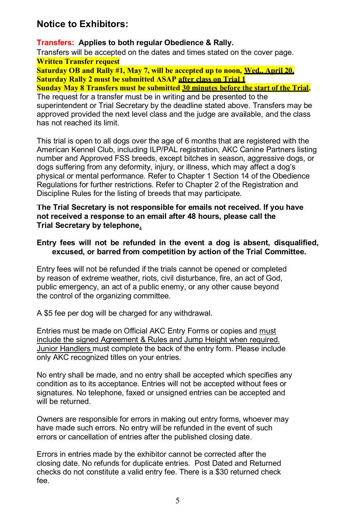## **Notice to Exhibitors:**

**Transfers: Applies to both regular Obedience & Rally.**

Transfers will be accepted on the dates and times stated on the cover page. **Written Transfer request** 

**Saturday OB and Rally #1, May 7, will be accepted up to noon, Wed., April 20. Saturday Rally 2 must be submitted ASAP after class on Trial 1**

**Sunday May 8 Transfers must be submitted 30 minutes before the start of the Trial.**

The request for a transfer must be in writing and be presented to the superintendent or Trial Secretary by the deadline stated above. Transfers may be approved provided the next level class and the judge are available, and the class has not reached its limit.

This trial is open to all dogs over the age of 6 months that are registered with the American Kennel Club, including ILP/PAL registration, AKC Canine Partners listing number and Approved FSS breeds, except bitches in season, aggressive dogs, or dogs suffering from any deformity, injury, or illness, which may affect a dog's physical or mental performance. Refer to Chapter 1 Section 14 of the Obedience Regulations for further restrictions. Refer to Chapter 2 of the Registration and Discipline Rules for the listing of breeds that may participate.

**The Trial Secretary is not responsible for emails not received. If you have not received a response to an email after 48 hours, please call the Trial Secretary by telephone.**

## **Entry fees will not be refunded in the event a dog is absent, disqualified, excused, or barred from competition by action of the Trial Committee.**

Entry fees will not be refunded if the trials cannot be opened or completed by reason of extreme weather, riots, civil disturbance, fire, an act of God, public emergency, an act of a public enemy, or any other cause beyond the control of the organizing committee.

A \$5 fee per dog will be charged for any withdrawal.

Entries must be made on Official AKC Entry Forms or copies and must include the signed Agreement & Rules and Jump Height when required. Junior Handlers must complete the back of the entry form. Please include only AKC recognized titles on your entries.

No entry shall be made, and no entry shall be accepted which specifies any condition as to its acceptance. Entries will not be accepted without fees or signatures. No telephone, faxed or unsigned entries can be accepted and will be returned.

Owners are responsible for errors in making out entry forms, whoever may have made such errors. No entry will be refunded in the event of such errors or cancellation of entries after the published closing date.

Errors in entries made by the exhibitor cannot be corrected after the closing date. No refunds for duplicate entries. Post Dated and Returned checks do not constitute a valid entry fee. There is a \$30 returned check fee.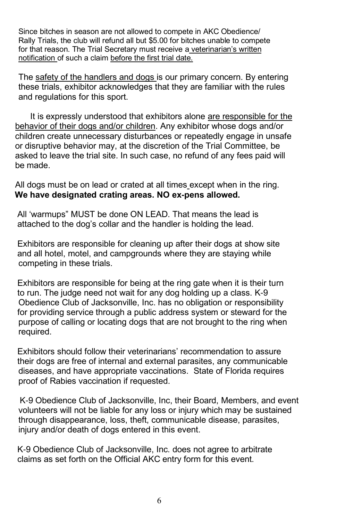Since bitches in season are not allowed to compete in AKC Obedience/ Rally Trials, the club will refund all but \$5.00 for bitches unable to compete for that reason. The Trial Secretary must receive a veterinarian's written notification of such a claim before the first trial date.

The safety of the handlers and dogs is our primary concern. By entering these trials, exhibitor acknowledges that they are familiar with the rules and regulations for this sport.

 It is expressly understood that exhibitors alone are responsible for the behavior of their dogs and/or children. Any exhibitor whose dogs and/or children create unnecessary disturbances or repeatedly engage in unsafe or disruptive behavior may, at the discretion of the Trial Committee, be asked to leave the trial site. In such case, no refund of any fees paid will be made.

 All dogs must be on lead or crated at all times except when in the ring. **We have designated crating areas. NO ex-pens allowed.**

All 'warmups" MUST be done ON LEAD. That means the lead is attached to the dog's collar and the handler is holding the lead.

 Exhibitors are responsible for cleaning up after their dogs at show site and all hotel, motel, and campgrounds where they are staying while competing in these trials.

 Exhibitors are responsible for being at the ring gate when it is their turn to run. The judge need not wait for any dog holding up a class. K-9 Obedience Club of Jacksonville, Inc. has no obligation or responsibility for providing service through a public address system or steward for the purpose of calling or locating dogs that are not brought to the ring when required.

 Exhibitors should follow their veterinarians' recommendation to assure their dogs are free of internal and external parasites, any communicable diseases, and have appropriate vaccinations. State of Florida requires proof of Rabies vaccination if requested.

 K-9 Obedience Club of Jacksonville, Inc, their Board, Members, and event volunteers will not be liable for any loss or injury which may be sustained through disappearance, loss, theft, communicable disease, parasites, injury and/or death of dogs entered in this event.

 K-9 Obedience Club of Jacksonville, Inc. does not agree to arbitrate claims as set forth on the Official AKC entry form for this event.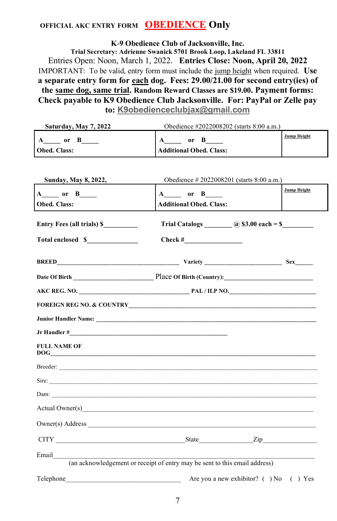## **OFFICIAL AKC ENTRY FORM OBEDIENCE Only**

**K-9 Obedience Club of Jacksonville, Inc.**

**Trial Secretary: Adrienne Swanick 5701 Brook Loop, Lakeland FL 33811** Entries Open: Noon, March 1, 2022. **Entries Close: Noon, April 20, 2022** IMPORTANT: To be valid, entry form must include the jump height when required. **Use a separate entry form for each dog. Fees: 29.00/21.00 for second entry(ies) of the same dog, same trial. Random Reward Classes are \$19.00. Payment forms: Check payable to K9 Obedience Club Jacksonville. For: PayPal or Zelle pay to: [K9obedienceclubjax@gmail.com](mailto:K9obedienceclubjax@gmail.com)**

| Saturday, May 7, 2022 | Obedience #2022008202 (starts 8:00 a.m.) |             |
|-----------------------|------------------------------------------|-------------|
| <b>Obed. Class:</b>   | 0r<br><b>Additional Obed. Class:</b>     | Jump Height |

| Sunday, May 8, 2022,                                                                                                                                                                                                           | Obedience #2022008201 (starts 8:00 a.m.)                        |             |
|--------------------------------------------------------------------------------------------------------------------------------------------------------------------------------------------------------------------------------|-----------------------------------------------------------------|-------------|
| A or B                                                                                                                                                                                                                         | $A$ or $B$                                                      | Jump Height |
| Obed. Class:                                                                                                                                                                                                                   | <b>Additional Obed. Class:</b>                                  |             |
| Entry Fees (all trials) \$                                                                                                                                                                                                     | Trial Catalogs $\qquad \qquad \textcircled{a}$ \$3.00 each = \$ |             |
| Total enclosed \$                                                                                                                                                                                                              |                                                                 |             |
|                                                                                                                                                                                                                                |                                                                 |             |
|                                                                                                                                                                                                                                |                                                                 |             |
|                                                                                                                                                                                                                                |                                                                 |             |
|                                                                                                                                                                                                                                |                                                                 |             |
|                                                                                                                                                                                                                                |                                                                 |             |
|                                                                                                                                                                                                                                |                                                                 |             |
| <b>FULL NAME OF</b>                                                                                                                                                                                                            |                                                                 |             |
|                                                                                                                                                                                                                                |                                                                 |             |
| Sire:                                                                                                                                                                                                                          |                                                                 |             |
|                                                                                                                                                                                                                                |                                                                 |             |
| Actual Owner(s) experience and the contract of the contract of the contract of the contract of the contract of the contract of the contract of the contract of the contract of the contract of the contract of the contract of |                                                                 |             |
|                                                                                                                                                                                                                                |                                                                 |             |
|                                                                                                                                                                                                                                |                                                                 |             |
| Email<br>(an acknowledgement or receipt of entry may be sent to this email address)                                                                                                                                            |                                                                 |             |
|                                                                                                                                                                                                                                |                                                                 |             |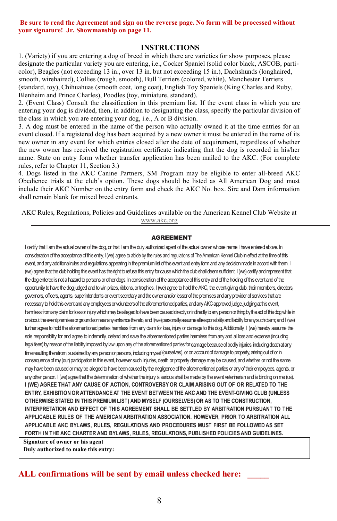#### **Be sure to read the Agreement and sign on the reverse page. No form will be processed without your signature! Jr. Showmanship on page 11.**

#### **INSTRUCTIONS**

1. (Variety) if you are entering a dog of breed in which there are varieties for show purposes, please designate the particular variety you are entering, i.e., Cocker Spaniel (solid color black, ASCOB, particolor), Beagles (not exceeding 13 in., over 13 in. but not exceeding 15 in.), Dachshunds (longhaired, smooth, wirehaired), Collies (rough, smooth), Bull Terriers (colored, white), Manchester Terriers (standard, toy), Chihuahuas (smooth coat, long coat), English Toy Spaniels (King Charles and Ruby, Blenheim and Prince Charles), Poodles (toy, miniature, standard).

2. (Event Class) Consult the classification in this premium list. If the event class in which you are entering your dog is divided, then, in addition to designating the class, specify the particular division of the class in which you are entering your dog, i.e., A or B division.

3. A dog must be entered in the name of the person who actually owned it at the time entries for an event closed. If a registered dog has been acquired by a new owner it must be entered in the name of its new owner in any event for which entries closed after the date of acquirement, regardless of whether the new owner has received the registration certificate indicating that the dog is recorded in his/her name. State on entry form whether transfer application has been mailed to the AKC. (For complete rules, refer to Chapter 11, Section 3.)

4. Dogs listed in the AKC Canine Partners, SM Program may be eligible to enter all-breed AKC Obedience trials at the club's option. These dogs should be listed as All American Dog and must include their AKC Number on the entry form and check the AKC No. box. Sire and Dam information shall remain blank for mixed breed entrants.

AKC Rules, Regulations, Policies and Guidelines available on the American Kennel Club Website at

[www.akc.org](http://www.akc.org/)

#### AGREEMENT

I certify that I am the actual owner of the dog, or that I am the duly authorized agent of the actual owner whose name I have entered above. In consideration of the acceptance of this entry, I (we) agree to abide by the rules and regulations of The American Kennel Club in effect at the time of this event, and any additional rules and regulations appearing in the premium list of this event and entry form and any decision made in accord with them. I (we) agree that the club holding this event has the right to refuse this entry for cause which the club shall deem sufficient. I (we) certify and represent that the dog entered is not a hazard to persons or other dogs. In consideration of the acceptance of this entry and of the holding of this event and of the opportunity to have the dog judged and to win prizes, ribbons, or trophies, I (we) agree to hold the AKC, the event-giving club, their members, directors, governors, officers, agents, superintendents or event secretary and the owner and/or lessor of the premises and any provider of services that are necessary to hold this event and any employees or volunteers of the aforementioned parties, and any AKC approved judge, judging at this event, harmless from any claim for loss or injury which may be alleged to have been caused directly or indirectly to any person or thing by the act of this dog while in or about the event premises orgrounds or near any entrance thereto, and I (we) personally assume all responsibility and liability for any such claim; and I (we) further agree to hold the aforementioned parties harmless from any claim for loss, injury or damage to this dog. Additionally, I (we) hereby assume the sole responsibility for and agree to indemnify, defend and save the aforementioned parties harmless from any and all loss and expense (including legal fees) by reason of the liability imposed by law upon any of the aforementioned parties for damage because of bodily injuries, including death at any time resulting therefrom, sustained by any person or persons, including myself (ourselves), or on account of damage to property, arising out of or in consequence of my (our) participation in this event, however such, injuries, death or property damage may be caused, and whether or not the same may have been caused or may be alleged to have been caused by the negligence of the aforementioned parties or any of their employees, agents, or any other person. I (we) agree that the determination of whether the injury is serious shall be made by the event veterinarian and is binding on me (us). **I (WE) AGREE THAT ANY CAUSE OF ACTION, CONTROVERSYOR CLAIM ARISING OUT OF OR RELATED TO THE ENTRY, EXHIBITIONOR ATTENDANCEAT THE EVENT BETWEENTHE AKC AND THE EVENT-GIVING CLUB (UNLESS OTHERWISE STATED IN THIS PREMIUM LIST) AND MYSELF (OURSELVES)OR AS TO THE CONSTRUCTION, INTERPRETATION AND EFFECT OF THIS AGREEMENT SHALL BE SETTLED BY ARBITRATION PURSUANT TO THE APPLICABLE RULES OF THE AMERICAN ARBITRATION ASSOCIATION. HOWEVER, PRIOR TO ARBITRATION ALL APPLICABLE AKC BYLAWS, RULES, REGULATIONS AND PROCEDURES MUST FIRST BE FOLLOWED AS SET FORTH IN THE AKC CHARTER AND BYLAWS, RULES, REGULATIONS, PUBLISHED POLICIESAND GUIDELINES.**

**Signature of owner or his agent Duly authorized to make this entry:**

### **ALL confirmations will be sent by email unless checked here: \_\_\_\_\_**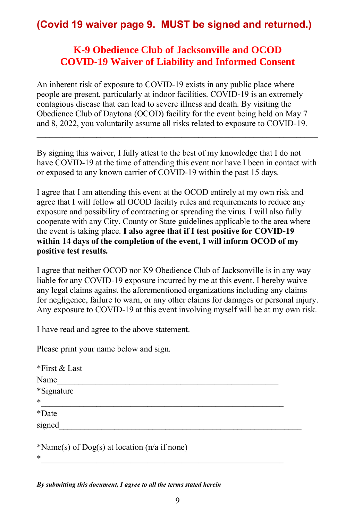## **(Covid 19 waiver page 9. MUST be signed and returned.)**

## **K-9 Obedience Club of Jacksonville and OCOD COVID-19 Waiver of Liability and Informed Consent**

An inherent risk of exposure to COVID-19 exists in any public place where people are present, particularly at indoor facilities. COVID-19 is an extremely contagious disease that can lead to severe illness and death. By visiting the Obedience Club of Daytona (OCOD) facility for the event being held on May 7 and 8, 2022, you voluntarily assume all risks related to exposure to COVID-19.

By signing this waiver, I fully attest to the best of my knowledge that I do not have COVID-19 at the time of attending this event nor have I been in contact with or exposed to any known carrier of COVID-19 within the past 15 days.

 $\mathcal{L}_\text{max} = \mathcal{L}_\text{max} = \mathcal{L}_\text{max} = \mathcal{L}_\text{max} = \mathcal{L}_\text{max} = \mathcal{L}_\text{max} = \mathcal{L}_\text{max} = \mathcal{L}_\text{max} = \mathcal{L}_\text{max} = \mathcal{L}_\text{max} = \mathcal{L}_\text{max} = \mathcal{L}_\text{max} = \mathcal{L}_\text{max} = \mathcal{L}_\text{max} = \mathcal{L}_\text{max} = \mathcal{L}_\text{max} = \mathcal{L}_\text{max} = \mathcal{L}_\text{max} = \mathcal{$ 

I agree that I am attending this event at the OCOD entirely at my own risk and agree that I will follow all OCOD facility rules and requirements to reduce any exposure and possibility of contracting or spreading the virus. I will also fully cooperate with any City, County or State guidelines applicable to the area where the event is taking place. **I also agree that if I test positive for COVID-19 within 14 days of the completion of the event, I will inform OCOD of my positive test results.**

I agree that neither OCOD nor K9 Obedience Club of Jacksonville is in any way liable for any COVID-19 exposure incurred by me at this event. I hereby waive any legal claims against the aforementioned organizations including any claims for negligence, failure to warn, or any other claims for damages or personal injury. Any exposure to COVID-19 at this event involving myself will be at my own risk.

I have read and agree to the above statement.

Please print your name below and sign.

| *First & Last                                   |  |
|-------------------------------------------------|--|
| Name                                            |  |
| *Signature                                      |  |
| $\ast$                                          |  |
| *Date                                           |  |
| signed                                          |  |
|                                                 |  |
| *Name(s) of Dog(s) at location ( $n/a$ if none) |  |

 $*$ 

*By submitting this document, I agree to all the terms stated herein*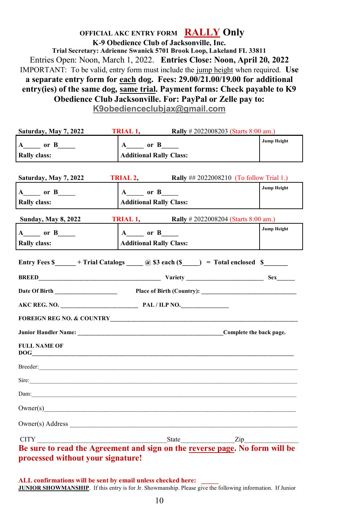## **OFFICIAL AKC ENTRY FORM RALLY Only K-9 Obedience Club of Jacksonville, Inc. Trial Secretary: Adrienne Swanick 5701 Brook Loop, Lakeland FL 33811**  Entries Open: Noon, March 1, 2022. **Entries Close: Noon, April 20, 2022** IMPORTANT: To be valid, entry form must include the jump height when required. **Use a separate entry form for each dog. Fees: 29.00/21.00/19.00 for additional entry(ies) of the same dog, same trial. Payment forms: Check payable to K9 Obedience Club Jacksonville. For: PayPal or Zelle pay to: [K9obedienceclubjax@gmail.com](mailto:K9obedienceclubjax@gmail.com)**

| Saturday, May 7, 2022                                                                                                                                                                                                                                 | <b>TRIAL 1, Rally</b> # 2022008203 (Starts 8:00 am.)     |                    |             |
|-------------------------------------------------------------------------------------------------------------------------------------------------------------------------------------------------------------------------------------------------------|----------------------------------------------------------|--------------------|-------------|
| A or B                                                                                                                                                                                                                                                | A or B                                                   |                    | Jump Height |
| <b>Rally class:</b>                                                                                                                                                                                                                                   | <b>Additional Rally Class:</b>                           |                    |             |
| Saturday, May 7, 2022                                                                                                                                                                                                                                 | <b>TRIAL 2, Rally</b> ## 2022008210 (To follow Trial 1.) |                    |             |
|                                                                                                                                                                                                                                                       | A or B                                                   |                    | Jump Height |
| <b>Rally class:</b>                                                                                                                                                                                                                                   | <b>Additional Rally Class:</b>                           |                    |             |
|                                                                                                                                                                                                                                                       |                                                          |                    |             |
| <b>Sunday, May 8, 2022</b>                                                                                                                                                                                                                            | <b>TRIAL 1, Rally</b> # 2022008204 (Starts 8:00 am.)     |                    |             |
| $A$ or $B$                                                                                                                                                                                                                                            | $A$ or $B$                                               |                    | Jump Height |
| <b>Rally class:</b>                                                                                                                                                                                                                                   | <b>Additional Rally Class:</b>                           |                    |             |
| Entry Fees $\frac{\sqrt{5}}{2}$ + Trial Catalogs (a) \$3 each (\$ ) = Total enclosed \$                                                                                                                                                               |                                                          |                    |             |
|                                                                                                                                                                                                                                                       |                                                          |                    |             |
|                                                                                                                                                                                                                                                       |                                                          |                    |             |
| AKC REG. NO. PAL/ILP NO.                                                                                                                                                                                                                              |                                                          |                    |             |
|                                                                                                                                                                                                                                                       |                                                          |                    |             |
|                                                                                                                                                                                                                                                       |                                                          |                    |             |
| <b>FULL NAME OF</b><br>DOG and the state of the state of the state of the state of the state of the state of the state of the state of the state of the state of the state of the state of the state of the state of the state of the state of the st |                                                          |                    |             |
| Breeder:                                                                                                                                                                                                                                              |                                                          |                    |             |
|                                                                                                                                                                                                                                                       |                                                          |                    |             |
| Dam: $\qquad \qquad$                                                                                                                                                                                                                                  |                                                          |                    |             |
| Owner(s)                                                                                                                                                                                                                                              |                                                          |                    |             |
| $Owner(s)$ Address                                                                                                                                                                                                                                    |                                                          |                    |             |
|                                                                                                                                                                                                                                                       |                                                          | $\mathbb{Zip}_{-}$ |             |
| Be sure to read the Agreement and sign on the reverse page. No form will be                                                                                                                                                                           |                                                          |                    |             |
| processed without your signature!                                                                                                                                                                                                                     |                                                          |                    |             |

ALL confirmations will be sent by email unless checked here: **JUNIOR SHOWMANSHIP**. If this entry is for Jr. Showmanship. Please give the following information. If Junior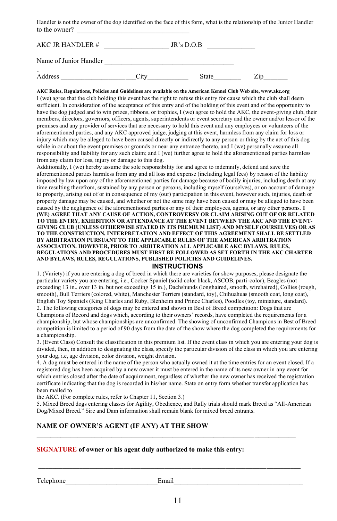Handler is not the owner of the dog identified on the face of this form, what is the relationship of the Junior Handler to the owner?

| AKC JR HANDLER $#$     |     | IR's D.O.B |     |
|------------------------|-----|------------|-----|
| Name of Junior Handler |     |            |     |
| $\sim$<br>Address      | лtv | State      | ∠ır |

#### **AKC Rules, Regulations, Policies and Guidelines are available on the American Kennel Club Web site, www.akc.org**

I (we) agree that the club holding this event has the right to refuse this entry for cause which the club shall deem sufficient. In consideration of the acceptance of this entry and of the holding of this event and of the opportunity to have the dog judged and to win prizes, ribbons, or trophies, I (we) agree to hold the AKC, the event-giving club, their members, directors, governors, officers, agents, superintendents or event secretary and the owner and/or lessor of the premises and any provider of services that are necessary to hold this event and any employees or volunteers of the aforementioned parties, and any AKC approved judge, judging at this event, harmless from any claim for loss or injury which may be alleged to have been caused directly or indirectly to any person or thing by the act of this dog while in or about the event premises or grounds or near any entrance thereto, and I (we) personally assume all responsibility and liability for any such claim; and I (we) further agree to hold the aforementioned parties harmless from any claim for loss, injury or damage to this dog.

Additionally, I (we) hereby assume the sole responsibility for and agree to indemnify, defend and save the aforementioned parties harmless from any and all loss and expense (including legal fees) by reason of the liability imposed by law upon any of the aforementioned parties for damage because of bodily injuries, including death at any time resulting therefrom, sustained by any person or persons, including myself (ourselves), or on account of damage to property, arising out of or in consequence of my (our) participation in this event, however such, injuries, death or property damage may be caused, and whether or not the same may have been caused or may be alleged to have been caused by the negligence of the aforementioned parties or any of their employees, agents, or any other persons. **I (WE) AGREE THAT ANY CAUSE OF ACTION, CONTROVERSY OR CLAIM ARISING OUT OF OR RELATED TO THE ENTRY, EXHIBITION OR ATTENDANCE AT THE EVENT BETWEEN THE AKC AND THE EVENT-GIVING CLUB (UNLESS OTHERWISE STATED IN ITS PREMIUM LIST) AND MYSELF (OURSELVES) OR AS TO THE CONSTRUCTION, INTERPRETATION AND EFFECT OF THIS AGREEMENT SHALL BE SETTLED BY ARBITRATION PURSUANT TO THE APPLICABLE RULES OF THE AMERICAN ARBITRATION ASSOCIATION. HOWEVER, PRIOR TO ARBITRATION ALL APPLICABLE AKC BYLAWS, RULES, REGULATIONS AND PROCEDURES MUST FIRST BE FOLLOWED AS SET FORTH IN THE AKC CHARTER AND BYLAWS, RULES, REGULATIONS, PUBLISHED POLICIES AND GUIDELINES.**

#### **INSTRUCTIONS**

1. (Variety) if you are entering a dog of breed in which there are varieties for show purposes, please designate the particular variety you are entering, i.e., Cocker Spaniel (solid color black, ASCOB, parti-color), Beagles (not exceeding 13 in., over 13 in. but not exceeding 15 in.), Dachshunds (longhaired, smooth, wirehaired), Collies (rough, smooth), Bull Terriers (colored, white), Manchester Terriers (standard, toy), Chihuahuas (smooth coat, long coat), English Toy Spaniels (King Charles and Ruby, Blenheim and Prince Charles), Poodles (toy, miniature, standard). 2. The following categories of dogs may be entered and shown in Best of Breed competition: Dogs that are Champions of Record and dogs which, according to their owners' records, have completed the requirements for a championship, but whose championships are unconfirmed. The showing of unconfirmed Champions in Best of Breed competition is limited to a period of 90 days from the date of the show where the dog completed the requirements for a championship.

3. (Event Class) Consult the classification in this premium list. If the event class in which you are entering your dog is divided, then, in addition to designating the class, specify the particular division of the class in which you are entering your dog, i.e, age division, color division, weight division.

4. A dog must be entered in the name of the person who actually owned it at the time entries for an event closed. If a registered dog has been acquired by a new owner it must be entered in the name of its new owner in any event for which entries closed after the date of acquirement, regardless of whether the new owner has received the registration certificate indicating that the dog is recorded in his/her name. State on entry form whether transfer application has been mailed to

the AKC. (For complete rules, refer to Chapter 11, Section 3.)

5. Mixed Breed dogs entering classes for Agility, Obedience, and Rally trials should mark Breed as "All-American Dog/Mixed Breed." Sire and Dam information shall remain blank for mixed breed entrants.

#### **NAME OF OWNER'S AGENT (IF ANY) AT THE SHOW**

#### **SIGNATURE of owner or his agent duly authorized to make this entry:**

Telephone **Email**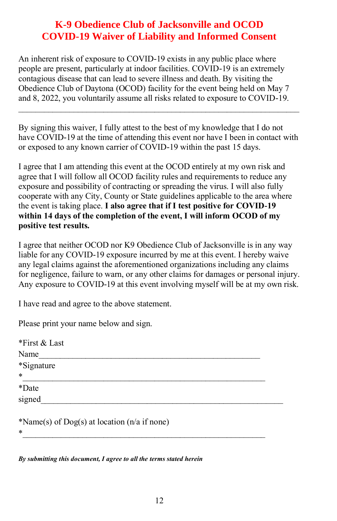## **K-9 Obedience Club of Jacksonville and OCOD COVID-19 Waiver of Liability and Informed Consent**

An inherent risk of exposure to COVID-19 exists in any public place where people are present, particularly at indoor facilities. COVID-19 is an extremely contagious disease that can lead to severe illness and death. By visiting the Obedience Club of Daytona (OCOD) facility for the event being held on May 7 and 8, 2022, you voluntarily assume all risks related to exposure to COVID-19.

By signing this waiver, I fully attest to the best of my knowledge that I do not have COVID-19 at the time of attending this event nor have I been in contact with or exposed to any known carrier of COVID-19 within the past 15 days.

I agree that I am attending this event at the OCOD entirely at my own risk and agree that I will follow all OCOD facility rules and requirements to reduce any exposure and possibility of contracting or spreading the virus. I will also fully cooperate with any City, County or State guidelines applicable to the area where the event is taking place. **I also agree that if I test positive for COVID-19 within 14 days of the completion of the event, I will inform OCOD of my positive test results.**

I agree that neither OCOD nor K9 Obedience Club of Jacksonville is in any way liable for any COVID-19 exposure incurred by me at this event. I hereby waive any legal claims against the aforementioned organizations including any claims for negligence, failure to warn, or any other claims for damages or personal injury. Any exposure to COVID-19 at this event involving myself will be at my own risk.

I have read and agree to the above statement.

Please print your name below and sign.

| *First & Last                                   |  |
|-------------------------------------------------|--|
| Name                                            |  |
| *Signature                                      |  |
| $\ast$                                          |  |
| *Date                                           |  |
| signed                                          |  |
|                                                 |  |
| *Name(s) of Dog(s) at location ( $n/a$ if none) |  |
| $\ast$                                          |  |

*By submitting this document, I agree to all the terms stated herein*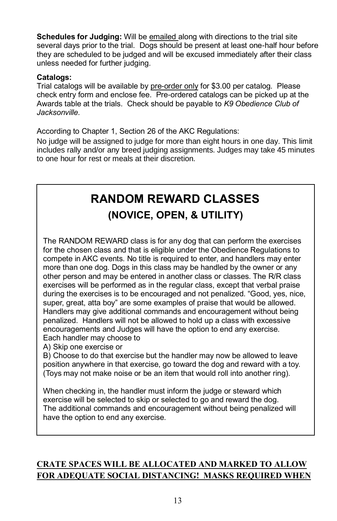**Schedules for Judging:** Will be emailed along with directions to the trial site several days prior to the trial. Dogs should be present at least one-half hour before they are scheduled to be judged and will be excused immediately after their class unless needed for further judging.

### **Catalogs:**

Trial catalogs will be available by pre-order only for \$3.00 per catalog. Please check entry form and enclose fee. Pre-ordered catalogs can be picked up at the Awards table at the trials. Check should be payable to *K9 Obedience Club of Jacksonville.*

According to Chapter 1, Section 26 of the AKC Regulations:

No judge will be assigned to judge for more than eight hours in one day. This limit includes rally and/or any breed judging assignments. Judges may take 45 minutes to one hour for rest or meals at their discretion.

# **RANDOM REWARD CLASSES (NOVICE, OPEN, & UTILITY)**

The RANDOM REWARD class is for any dog that can perform the exercises for the chosen class and that is eligible under the Obedience Regulations to compete in AKC events. No title is required to enter, and handlers may enter more than one dog. Dogs in this class may be handled by the owner or any other person and may be entered in another class or classes. The R/R class exercises will be performed as in the regular class, except that verbal praise during the exercises is to be encouraged and not penalized. "Good, yes, nice, super, great, atta boy" are some examples of praise that would be allowed. Handlers may give additional commands and encouragement without being penalized. Handlers will not be allowed to hold up a class with excessive encouragements and Judges will have the option to end any exercise. Each handler may choose to

A) Skip one exercise or

B) Choose to do that exercise but the handler may now be allowed to leave position anywhere in that exercise, go toward the dog and reward with a toy. (Toys may not make noise or be an item that would roll into another ring).

When checking in, the handler must inform the judge or steward which exercise will be selected to skip or selected to go and reward the dog. The additional commands and encouragement without being penalized will have the option to end any exercise.

## **CRATE SPACES WILL BE ALLOCATED AND MARKED TO ALLOW FOR ADEQUATE SOCIAL DISTANCING! MASKS REQUIRED WHEN**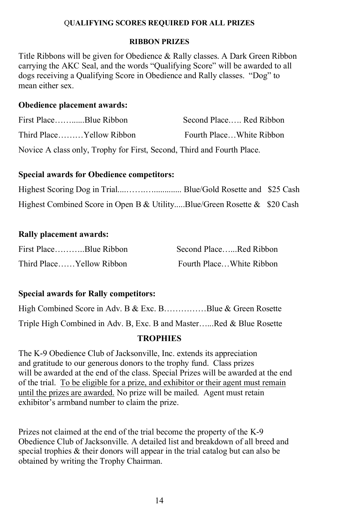### Q**UALIFYING SCORES REQUIRED FOR ALL PRIZES**

### **RIBBON PRIZES**

Title Ribbons will be given for Obedience & Rally classes. A Dark Green Ribbon carrying the AKC Seal, and the words "Qualifying Score" will be awarded to all dogs receiving a Qualifying Score in Obedience and Rally classes. "Dog" to mean either sex.

## **Obedience placement awards:**

| First PlaceBlue Ribbon                                                 | Second Place Red Ribbon  |
|------------------------------------------------------------------------|--------------------------|
| Third PlaceYellow Ribbon                                               | Fourth PlaceWhite Ribbon |
| Novice A class only, Trophy for First, Second, Third and Fourth Place. |                          |

## **Special awards for Obedience competitors:**

| Highest Combined Score in Open B & UtilityBlue/Green Rosette & \$20 Cash |  |
|--------------------------------------------------------------------------|--|

## **Rally placement awards:**

| First PlaceBlue Ribbon   | Second PlaceRed Ribbon   |
|--------------------------|--------------------------|
| Third PlaceYellow Ribbon | Fourth PlaceWhite Ribbon |

## **Special awards for Rally competitors:**

High Combined Score in Adv. B & Exc. B……………Blue & Green Rosette Triple High Combined in Adv. B, Exc. B and Master…...Red & Blue Rosette

## **TROPHIES**

The K-9 Obedience Club of Jacksonville, Inc. extends its appreciation and gratitude to our generous donors to the trophy fund. Class prizes will be awarded at the end of the class. Special Prizes will be awarded at the end of the trial. To be eligible for a prize, and exhibitor or their agent must remain until the prizes are awarded. No prize will be mailed. Agent must retain exhibitor's armband number to claim the prize.

Prizes not claimed at the end of the trial become the property of the K-9 Obedience Club of Jacksonville. A detailed list and breakdown of all breed and special trophies & their donors will appear in the trial catalog but can also be obtained by writing the Trophy Chairman.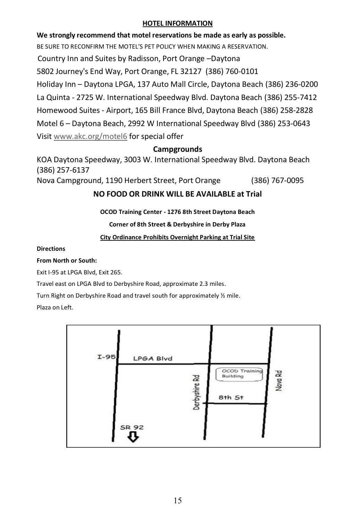### **HOTEL INFORMATION**

**We strongly recommend that motel reservations be made as early as possible.**  BE SURE TO RECONFIRM THE MOTEL'S PET POLICY WHEN MAKING A RESERVATION. Country Inn and Suites by Radisson, Port Orange –Daytona 5802 Journey's End Way, Port Orange, FL 32127 [\(386\) 760](tel:+1%20(386)%20760-0101)-0101 Holiday Inn – Daytona LPGA, 137 Auto Mall Circle, Daytona Beach (386) 236-0200 La Quinta - 2725 W. International Speedway Blvd. Daytona Beach (386) 255-7412 Homewood Suites - Airport, 165 Bill France Blvd, Daytona Beach (386) 258-2828 Motel 6 – Daytona Beach, 2992 W International Speedway Blvd (386) 253-0643 Visit [www.akc.org/motel6](http://www.akc.org/motel6) for special offer

## **Campgrounds**

KOA Daytona Speedway, 3003 W. International Speedway Blvd. Daytona Beach (386) 257-6137

Nova Campground, 1190 Herbert Street, Port Orange (386) 767-0095

## **NO FOOD OR DRINK WILL BE AVAILABLE at Trial**

**OCOD Training Center - 1276 8th Street Daytona Beach**

**Corner of 8th Street & Derbyshire in Derby Plaza**

### **City Ordinance Prohibits Overnight Parking at Trial Site**

### **Directions**

### **From North or South:**

Exit I-95 at LPGA Blvd, Exit 265.

Travel east on LPGA Blvd to Derbyshire Road, approximate 2.3 miles.

Turn Right on Derbyshire Road and travel south for approximately ½ mile.

Plaza on Left.